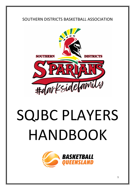# SOUTHERN DISTRICTS BASKETBALL ASSOCIATION



# SQJBC PLAYERS HANDBOOK

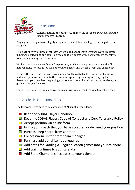

## 1. Welcome

Congratulations on your selection into the Southern Districts Spartans Representative Program.

Playing Rep for Spartans is highly sought after, and it is a privilege to participate in our program.

This year only two thirds of athletes who trialled at Southern Districts were successful in being selected into our Rep Program and it is a considerable achievement therefore to be named in any one of our teams.

Whilst trials are a very individual experience, you have now joined a team and will make lifelong friends as too we hope you will learn and develop from this experience.

If this is the first time that you have made a Southern Districts team, we welcome you and invite you to contribute to the team atmosphere by training and playing hard, listening to your coaches, respecting your teammates and working hard to achieve your goals in this year's season.

For those returning we welcome you back and wish you all the best for a fantastic season.

## 2. Checklist – Action Items

The following items need to be completed ASAP if not already done:

- $\blacksquare$  Read the SDBAL Player Handbook
- Read the SDBAL Players Code of Conduct and Zero Tolerance Policy
- $\Box$  Accept position via online form
- $\blacksquare$  Notify your coach that you have accepted or declined your position
- **Purchase Rep Shorts from Canteen**
- $\Box$  Collect Warm up top from team manager
- **Purchase additional items as required**
- Add dates for Grading & Regular Season games into your calendar
- $\Box$  Add training times to your calendar
- **Add State Championships dates to your calendar**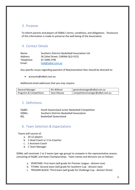## 3. Purpose

To inform parents and players of SDBAL's terms, conditions, and obligations. Disclosure of this information is made to preserve the well-being of the Association.

## 4. Contact Details

| Name:      | Southern Districts Basketball Association Ltd |
|------------|-----------------------------------------------|
| Address:   | 56 Zahel Street, CARINA QLD 4152              |
| Telephone: | 07 3398 2790                                  |
| Email:     | hob@sdbal.com.au                              |

Any specific issues regarding payment of Representative fees should be directed to:

• accounts@sdbal.com.au

Additional email addresses that you may require:

| <b>General Manager</b>  | <b>Ric Willmot</b> | generalmanager@sdbal.com.au      |
|-------------------------|--------------------|----------------------------------|
| Programs & Competitions | Sean Massey        | competitionsmanager@sdbal.com.au |

## 5. Definitions

| SQJBC: | South Queensland Junior Basketball Competition |
|--------|------------------------------------------------|
| SDBAL: | Southern Districts Basketball Association      |
| BO:    | <b>Basketball Queensland</b>                   |

## 6. Team Selection & Expectations

Teams will consist of:

- a. 10-12 players
- b. 1 Head Coach or 2 Co-Coaches
- c. 1 Assistant Coach
- d. 1 Team Manager

SDBAL will nominate 1 to 5 teams (per age group) to compete in the representative season, consisting of SQJBC and State Championships. Team names and divisions are as follows:

- a. SPARTANS: First team (will grade for Premier League division one)
- b. TITANS: Second team (will grade for Southern Cup division two)
- c. TROJANS BLACK: Third team (will grade for Challenge Cup division three)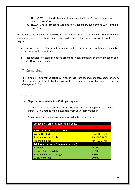- d. TROJAN WHITE: Fourth team (automatically Challenge/Development Cup division three/four)
- e. TROJANS RED: Fifth team automatically Challenge/Development Cup division three/four)

Exceptions to the above rules would be if SDBAL had an automatic qualifier in Premier League in any given year, the Titans team then could grade in the higher division being Premier League.

- a. Teams will be selected based on several factors, including but not limited to, ability, attitude, and commitment.
- b. Final decisions on team selections are made in conjunction with the team coach and the SDBAL Coaches panel

## 7. Complaints

Any complaints against the actions of a coach, assistant coach, manager, spectator or any other person must be lodged in writing to the Head of Basketball and the General Manager of SDBAL.

## 8. Uniform

- a. Players must purchase the SDBAL playing shorts.
- b. Warm up shirts and water bottles are included in SDBAL's rep fees. Warm up shirts & Drink bottles will be available from your team manager.
- c. Other non-compulsory items are also available for purchase.

| <b>Compulsory Uniform Items to Purchase</b> |                     |
|---------------------------------------------|---------------------|
| <b>Rep Player Shorts</b>                    | \$45.00             |
| <b>SDBAL Provided Uniform Items</b>         |                     |
| <b>Warm Up Shirt</b>                        | <b>PLAYERS PACK</b> |
| <b>Spartans Water Bottle</b>                | <b>PLAYERS PACK</b> |
| <b>Playing Singlets</b>                     | <b>MANAGER KIT</b>  |
| Additional Items to Purchase (optional)     |                     |
| <b>Back Pack</b>                            | \$65.00             |
| Socks - Black or White                      | \$17.00             |
| <b>Spartans Reversible Singlet</b>          | \$40.00             |
| <b>Supporters Polo</b>                      | \$40.00             |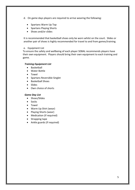- d. On game days players are required to arrive wearing the following:
	- Spartans Warm Up Top
	- Spartans Playing Shorts
	- Shoes and/or slides

It is recommended that basketball shoes only be worn whilst on the court. Slides or another pair of shoes is highly recommended for travel to and from games/training.

#### e. Equipment List

To ensure the safety and wellbeing of each player SDBAL recommends players have their own equipment. Players should bring their own equipment to each training and game.

#### *Training Equipment List*

- Basketball
- Water Bottle
- Towel
- Spartans Reversible Singlet
- Basketball Shoes
- Slides
- Own choice of shorts

#### *Game Day List*

- Shoes/Slides
- Socks
- Towel
- Warm Up Shirt (wear)
- Playing Shorts (wear)
- Medication (if required)
- Strapping tape
- Ankle guards (if required)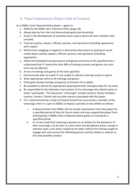## 9. Player Expectations (Player Code of Conduct)

As a SDBAL Junior Representative player, I agree to:

- a. Abide by the SDBAL Zero Tolerance Policy (page 18).
- b. Always play by the rules and demonstrate good sportsmanship.
- c. Assist in the development of a positive team culture where all team members feel included.
- d. Treat all coaches, players, officials, parents, and spectators (including opponents) with respect.
- e. Refrain from engaging in negative or destructive discussions or posting on social media about coaches, players, officials, parents, and spectators (including opponents).
- a. Attend all scheduled training sessions and games and arrive at the specified time. I understand that if I attend less than 80% of training sessions and games my court time may be affected.
- b. Arrive at trainings and games at the time specified.
- c. Communicate with my coach if I am unable to attend a training session or game.
- d. Wear appropriate attire to all trainings and games.
- e. Participate during trainings and games to the best of my ability.
- f. Be available to attend the appropriate Queensland State Championships for my team.
- g. Be responsible for the behaviour and conduct of my entourage who attend events in which I participate. The expression "entourage" includes parents, family members, coaches, trainers, friends and any other person associated with the player.
- h. If it is determined that a Code of Conduct breach has occurred by a member of the entourage, then it is open to SDBAL to impose a penalty on the athlete as follows:
	- I. A determination that SDBAL will not accept nominations from that player for a specified period of time for future teams and may suspend the player from participating in SDBAL Club or Representative games or training for a specified period.
	- II. It is to be noted that imposing a penalty on an athlete for the behaviour of their entourage is to be seen as a last resort and disciplinary action, except in extreme cases, such action would not be taken without first having sought to engage with and counsel the offending person and the athlete in relation to the unacceptable conduct.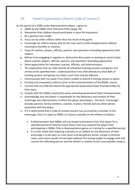## 10. Parent Expectations (Parent Code of Conduct)

As the parent of a SDBA Junior Representative player, I agree to:

- a. Abide by the SDBAL Zero Tolerance Policy (page 18).
- b. Remember that children should participate in sport for enjoyment.
- c. Be a positive role model.
- d. Focus on my child's efforts rather than the result of the game.
- e. Encourage my child to always play by the rules and to settle disagreements without resorting to hostility or violence.
- f. Treat all coaches, players, officials, parents, and spectators (including opponents) with respect.
- g. Refrain from engaging in negative or destructive discussions or posting on social media about coaches, players, officials, parents, and spectators (including opponents).
- h. Show appreciation for volunteer coaches, officials, and administrators.
- i. The expectation that my child attends all scheduled training sessions and games and arrives at the specified time. I understand that if my child attends less than 80% of training sessions and games my child's court time may be affected.
- j. Communicate with my coach if my child is unable to attend a training session or game.
- k. Purchase all compulsory uniforms prior to the commencement of the BQJBC season.
- l. Commit that my child will attend the appropriate Queensland State Championships for their team.
- m. Comply with the SDBAL travel policy when attending Queensland State Championships.
- n. Acknowledge that the player is responsible for the behaviour and conduct of their entourage who attend events in which the player participates. The term "entourage" includes parents, family members, coaches, trainers, friends and any other person associated with the player.
- o. If it is determined that a Code of Conduct breach has occurred by a member of the entourage, then it is open to SDBAL to impose a penalty on the athlete as follows:
	- 1. A determination that SDBAL will not accept nominations from that player for a specified period of time for future teams and may suspend the player from participating in SDBAL Club or Representative games or training for a specified period.
	- 2. It is to be noted that imposing a penalty on an athlete for the behaviour of their entourage is to be seen as a last resort and disciplinary action, except in extreme cases, such action would not be taken without first having sought to engage with and counsel the offending person and the athlete in relation to the unacceptable conduct.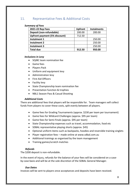## 11. Representative Fees & Additional Costs

#### *Summary of Fees*

| 2021-22 Rep Fees                     | <b>Upfront</b> | <b>Instalments</b> |
|--------------------------------------|----------------|--------------------|
| Deposit (non-refundable)             | 200.00         | 200.00             |
| <b>Upfront payment (5% discount)</b> | 712.50         |                    |
| Instalment 1                         |                | 250.00             |
| <b>Instalment 2</b>                  |                | 250.00             |
| <b>Instalment 3</b>                  |                | 250.00             |
| <b>Total due</b>                     | 912.50         | 950.00             |

#### *Inclusions in Levy*

- SQJBC team nomination fee
- Game fees
- Players Pack
- Uniform and equipment levy
- Administration levy
- First Aid Officers
- Facility levy
- State Championship team nomination fee
- Presentation function & trophies
- NBL1 Season Pass & Casual Shooting

#### *Additional Costs*

There are additional fees that players will be responsible for. Team managers will collect funds from players to cover these costs, split evenly between all players.

- Game fees for Grading Tournaments (approx. \$230 per team per tournament)
- Game fees for Wildcard Challenges (approx. \$95 per team)
- Game fees for Semi-Finals (approx. \$95 per team)
- State Championship expenses such as travel, accommodation, food etc
- SDBAL representative playing shorts (approx. \$45)
- Optional uniform items such as backpacks, hoodies and reversible training singlets
- Player registration fees made online at www.sdbal.com.au
- Additional trainings as organised by the team management
- Training games/scratch matches

#### *Refunds*

The \$200 deposit is non-refundable.

In the event of injury, refunds for the balance of your fees will be considered on a caseby-case basis and will be at the sole discretion of the SDBAL General Manager.

#### *Due Dates*

Invoices will be sent to players once acceptances and deposits have been received.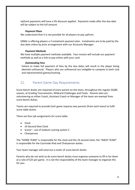Upfront payments will have a 5% discount applied. Payments made after the due date will be subject to the full amount.

#### *Payment Plans*

We understand that it is not possible for all players to pay upfront.

SDBAL is offering players a 3 instalment payment plan. Instalments are to be paid by the due date unless by prior arrangement with our Accounts Manager.

#### *Payment Methods*

We have multiple payment methods available. Your invoice will include our payment methods as well as a link to pay online with your card.

#### *Outstanding Fees*

Failure to make full payment of fees by the due dates will result in the player being deemed unfinancial. Players who are unfinancial are ineligible to compete in both club and representative games/training.

## 12. Parent Game Day Requirements

Score bench duties are required of every parent on the team, throughout the regular SQJBC season, at Grading Tournaments, Wildcard Challenges and Finals. Parents who are volunteering as either Coach, Assistant Coach or Manager of the team are exempt from score bench duties.

Teams are required to provide Each game requires two parents (from each team) to fulfil score table duties.

There are four job assignments for score table:

- Clock
- 24 Second Shot Clock
- Scorer use of stadium scoring system C
- Chairperson

The "HOME TEAM" is responsible for the clock and the 24 second clock, the "AWAY TEAM" is responsible for the Courtside iPad and Chairperson duties.

Your team manager will send out a roster of score bench duties.

Parents who do not wish to do score bench duties must organise someone to fill in for them at a rate of \$25 per game. It is not the responsibility of the team manager to organise this for you.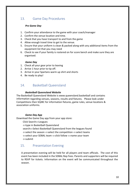## 13. Game Day Procedures

#### *Pre Game Day*

- 1. Confirm your attendance to the game with your coach/manager
- 2. Confirm the venue location and time.
- 3. Check that you have transport to and from the game
- 4. Allow enough travel time to get to the venue.
- 5. Ensure that your uniform is clean & packed along with any additional items from the equipment list that you may need
- 6. Check to see if your family is rostered on for score bench and make sure they are organised.

#### *Game Day*

- 1. Check all your gear prior to leaving
- 2. Arrive 1 hour prior to tip off.
- 3. Arrive in your Spartans warm up shirt and shorts
- 4. Be ready to play!

## 14. Basketball Queensland

#### *Basketball Queensland Website*

The Basketball Queensland Website is www.queensland.basketball and contains information regarding venues, seasons, results and fixtures. Please look under Competitions then SQJBC for information fixtures, game rules, venue locations & association uniforms.

#### *Game Day App*

Download the Game Day app from your app store:

 $Click Search < \text{Leagues}$ 

 $\leftarrow$ type in Basketball Queensland

search 
search Cselect Basketball Queensland from the leagues found

 $\Leftarrow$ select the season  $\Leftarrow$ select the competition  $\Leftarrow$ select teams

 $\Leftarrow$ select your SDBAL team  $\Leftarrow$ click follow  $\Leftarrow$ name your team  $\Leftarrow$ submit

## 15. Presentation Evening

A presentation evening will be held for all players and team officials. The cost of this event has been included in the SDBAL Rep Fees. Parents and supporters will be required to RSVP for tickets. Information on the event will be communicated throughout the season.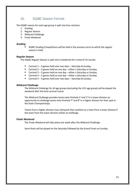## 16. SQJBC Season Format

The SQJBC season for each age group is split into four sections:

- 1. Grading
- 2. Regular Season
- 3. Wildcard Challenge
- 4. Finals Weekend

#### *Grading*

SQJBC Grading Competitions will be held in the previous term to which the regular season is held.

#### *Regular Season*

The SQJBC Regular Season is split into 5 weekends for a total of 14 rounds.

- Carnival  $1 4$  games held over two days Saturday & Sunday.
- Carnival  $2 2$  games held on one day  $-$  either a Saturday or Sunday.
- Carnival  $3 2$  games held on one day either a Saturday or Sunday.
- Carnival  $4 2$  games held on one day either a Saturday or Sunday.
- Carnival 5 4 games held over two days Saturday & Sunday.

#### *Wildcard Challenge*

The Wildcard Challenge for all age groups (excluding the U21 age group) will be played the weekend after the final carnival round.

The Wildcard Challenge provides teams who finished  $1<sup>st</sup>$  and  $2<sup>nd</sup>$  in a lower division an opportunity to challenge teams who finished  $7<sup>th</sup>$  and  $8<sup>th</sup>$  in a higher division for their spot in the State Championships.

Teams from a higher division may relinquish their position to a team from a lower division if the team from the lower division wishes to challenge.

#### *Finals Weekend*

The Finals Weekend will take place one week after the Wildcard Challenge.

Semi-finals will be played on the Saturday followed by the Grand Finals on Sunday.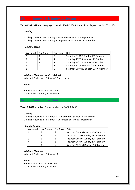## *17. Under 18 & Under 21 Season*

**Term 4 2021 - Under 18 –** players born in 2005 & 2006. **Under 21 –** players born in 2001-2004.

#### *Grading*

Grading Weekend 1 – Saturday 4 September or Sunday 5 September Grading Weekend 2 – Saturday 11 September or Sunday 12 September

#### *Regular Season*

| Weekend | No. Games | No. Days | Dates                                                          |
|---------|-----------|----------|----------------------------------------------------------------|
|         |           |          | Saturday 9 <sup>th</sup> AND Sunday 10 <sup>th</sup> October   |
|         |           |          | Saturday 23rd OR Sunday 24th October                           |
|         |           |          | Saturday 30th OR Sunday 31st October                           |
|         |           |          | Saturday 6 <sup>th</sup> OR Sunday 7 <sup>th</sup> November    |
|         |           |          | Saturday 20 <sup>th</sup> AND Sunday 21 <sup>st</sup> November |

#### *Wildcard Challenge (Under 18 Only)*  Wildcard Challenge – Saturday 27 November

#### *Finals*

Semi Finals – Saturday 4 December Grand Finals – Sunday 5 December

*18. Under 16 Season*

**Term 1 2022 - Under 16 –** players born in 2007 & 2008.

#### *Grading*

Grading Weekend 1 – Saturday 27 November or Sunday 28 November Grading Weekend 2 – Saturday 4 December or Sunday 5 December

#### *Regular Season*

| Weekend | No. Games | No. Days | Dates                                                         |
|---------|-----------|----------|---------------------------------------------------------------|
|         |           |          | Saturday 29 <sup>th</sup> AND Sunday 30 <sup>th</sup> January |
|         |           |          | Saturday 12 <sup>th</sup> OR Sunday 13 <sup>th</sup> February |
|         |           |          | Saturday 19th OR Sunday 20th February                         |
|         |           |          | Saturday 26 <sup>th</sup> OR Sunday 27 <sup>th</sup> February |
|         |           |          | Saturday 12 <sup>th</sup> AND Sunday 13 <sup>th</sup> March   |

#### *Wildcard Challenge*

Wildcard Challenge – Saturday 19

#### *Finals*

Semi Finals – Saturday 26 March Grand Finals – Sunday 27 March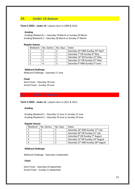## *19. Under 14 Season*

#### **Term 2 2022 - Under 14 –** players born in 2009 & 2010.

#### *Grading*

Grading Weekend 1 – Saturday 19 March or Sunday 20 March Grading Weekend 2 – Saturday 26 March or Sunday 27 March

#### *Regular Season*

| Weekend | No. Games | No. Days | Dates                                                    |  |
|---------|-----------|----------|----------------------------------------------------------|--|
|         |           |          | Saturday 23rd AND Sunday 24th April                      |  |
|         |           |          | Saturday 7 <sup>th</sup> OR Sunday 8 <sup>th</sup> May   |  |
|         |           |          | Saturday 14 <sup>th</sup> OR Sunday 15 <sup>th</sup> May |  |
|         |           |          | Saturday 21st OR Sunday 22 <sup>nd</sup> May             |  |
|         |           |          | Saturday 4 <sup>th</sup> AND Sunday 5 <sup>th</sup> June |  |

#### *Wildcard Challenge*

Wildcard Challenge – Saturday 11 June

#### *Finals*

Semi Finals – Saturday 18 June Grand Finals – Sunday 19 June

## *20. Under 12 Season*

#### **Term 3 2022 - Under 12 –** players born in 2011 & 2012.

#### *Grading*

Grading Weekend 1 – Saturday 11 June or Sunday 12 June Grading Weekend 2 – Saturday 18 June or Sunday 19 June

#### *Regular Season*

| Weekend | No. Games | No. Days | Dates                                                        |
|---------|-----------|----------|--------------------------------------------------------------|
|         | 4         |          | Saturday 16 <sup>th</sup> AND Sunday 17 <sup>th</sup> July   |
|         |           |          | Saturday 30th OR Sunday 31st July                            |
|         |           |          | Saturday 6 <sup>th</sup> OR Sunday 7 <sup>th</sup> August    |
|         |           |          | Saturday 13th OR Sunday 14th August                          |
|         |           |          | Saturday 27 <sup>th</sup> AND Sunday 28 <sup>th</sup> August |

#### *Wildcard Challenge*

Wildcard Challenge – Saturday 3 September

#### *Finals*

Semi Finals – Saturday 10 September Grand Finals – Sunday 11 September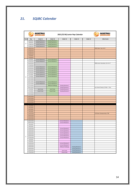# *21. SQJBC Calendar*

|             |                          | <i><b>BASKETBALL</b></i><br>UEENSLAND | 2021/22 BQ Junior Rep Calendar |                                          |                                                      |          | <i><b>BASKETBALL</b></i>          |
|-------------|--------------------------|---------------------------------------|--------------------------------|------------------------------------------|------------------------------------------------------|----------|-----------------------------------|
| Term        | Day                      | Under 21                              | Under 18                       | Under 16                                 | Under 14                                             | Under 12 | <b>Other Events</b>               |
|             | 4/09/2021                | Grading Weekend 1                     | Grading Weekend 1              |                                          |                                                      |          |                                   |
| 3           | 5/09/2021                | Grading Weekend 1                     | Grading Weekend 1              |                                          |                                                      |          |                                   |
|             | 11/09/2021               | Grading Weekend 2                     | <b>Grading Weekend 2</b>       |                                          |                                                      |          |                                   |
|             | 12/09/2021               | Grading Weekend 2                     | <b>Grading Weekend 2</b>       |                                          |                                                      |          |                                   |
|             | 18/09/2021               |                                       |                                |                                          |                                                      |          | CBSQ Open: Sep 16-19              |
|             | 19/09/2021               |                                       |                                |                                          |                                                      |          |                                   |
|             | 25/09/2021               |                                       |                                |                                          |                                                      |          |                                   |
|             | 26/09/2021               |                                       |                                |                                          |                                                      |          |                                   |
|             | 2/10/2021<br>3/10/2021   |                                       |                                |                                          |                                                      |          |                                   |
|             | 9/10/2021                | Carnival Weekend 1                    | Carnival Weekend 1             |                                          |                                                      |          |                                   |
|             | 10/10/2021               | Carnival Weekend 1                    | Carnival Weekend 1             |                                          |                                                      |          |                                   |
|             | 16/10/2021               |                                       |                                |                                          |                                                      |          | CBSQ Junior Secondary: Oct 14-17  |
|             | 17/10/2021               |                                       |                                |                                          |                                                      |          |                                   |
|             | 23/10/2021               | Carnival Weekend 2                    | Carnival Weekend 2             |                                          |                                                      |          |                                   |
|             | 24/10/2021               | Carnival Weekend 2                    | Carnival Weekend 2             |                                          |                                                      |          |                                   |
|             | 30/10/2021               | Carnival Weekend 3                    | Carnival Weekend 3             |                                          |                                                      |          |                                   |
|             | 31/10/2021               | Carnival Weekend 3                    | Carnival Weekend 3             |                                          |                                                      |          |                                   |
|             | 6/11/2021                | Carnival Weekend 4                    | Carnival Weekend 4             |                                          |                                                      |          |                                   |
| 4           | 7/11/2021                | Carnival Weekend 4                    | Carnival Weekend 4             |                                          |                                                      |          |                                   |
|             | 13/11/2021               |                                       |                                |                                          |                                                      |          |                                   |
|             | 14/11/2021               |                                       |                                |                                          |                                                      |          |                                   |
|             | 20/11/2021               | Carnival Weekend 5                    | Carnival Weekend 5             |                                          |                                                      |          |                                   |
|             | 21/11/2021               | Carnival Weekend 5                    | Carnival Weekend 5             |                                          |                                                      |          |                                   |
|             | 27/11/2021               |                                       | <b>Wildcard Challenge</b>      | Grading Weekend 1                        |                                                      |          |                                   |
|             | 28/11/2021               |                                       |                                | Grading Weekend 1                        |                                                      |          | Aus School Champs: 28 Nov - 2 Dec |
|             | 4/12/2021                | Semi Finals                           | Semi Finals                    | Grading Weekend 2                        |                                                      |          |                                   |
|             | 5/12/2021                | <b>Grand Finals</b>                   | <b>Grand Finals</b>            | <b>Grading Weekend 2</b>                 |                                                      |          |                                   |
|             | 11/12/2021               |                                       |                                |                                          |                                                      |          |                                   |
|             | 12/12/2021               |                                       |                                |                                          |                                                      |          |                                   |
|             | 18/12/2021               |                                       |                                |                                          |                                                      |          |                                   |
|             | 19/12/2021<br>25/12/2021 |                                       |                                |                                          |                                                      |          |                                   |
|             | 26/12/2021               |                                       |                                |                                          |                                                      |          |                                   |
|             |                          |                                       |                                |                                          |                                                      |          |                                   |
|             | 1/01/2022                |                                       |                                |                                          |                                                      |          |                                   |
|             | 2/01/2022                |                                       |                                |                                          |                                                      |          |                                   |
|             | 8/01/2022                |                                       |                                |                                          |                                                      |          |                                   |
|             | 9/01/2022                |                                       |                                |                                          |                                                      |          |                                   |
|             | 15/01/2022               |                                       |                                |                                          |                                                      |          | U18 State Championships: TBD      |
|             | 16/01/2022               |                                       |                                |                                          |                                                      |          |                                   |
|             | 22/01/2022               |                                       |                                |                                          |                                                      |          |                                   |
|             | 23/01/2022               |                                       |                                |                                          |                                                      |          |                                   |
|             | 29/01/2022               |                                       |                                | Carnival Weekend 1                       |                                                      |          |                                   |
|             | 30/01/2022               |                                       |                                | Carnival Weekend 1                       |                                                      |          |                                   |
|             | 5/02/2022                |                                       |                                |                                          |                                                      |          |                                   |
|             | 6/02/2022                |                                       |                                |                                          |                                                      |          |                                   |
|             | 12/02/2022               |                                       |                                | Carnival Weekend 2                       |                                                      |          |                                   |
|             | 13/02/2022               |                                       |                                | Carnival Weekend 2                       |                                                      |          |                                   |
|             | 19/02/2022               |                                       |                                | Carnival Weekend 3                       |                                                      |          |                                   |
|             | 20/02/2022               |                                       |                                | Carnival Weekend 3                       |                                                      |          |                                   |
| $\mathbf 1$ | 26/02/2022               |                                       |                                | Carnival Weekend 4                       |                                                      |          |                                   |
|             | 27/02/2022               |                                       |                                | Carnival Weekend 4                       |                                                      |          |                                   |
|             | 5/03/2022                |                                       |                                |                                          |                                                      |          |                                   |
|             | 6/03/2022                |                                       |                                |                                          |                                                      |          |                                   |
|             | 12/03/2022<br>13/03/2022 |                                       |                                | Carnival Weekend 5<br>Carnival Weekend 5 |                                                      |          |                                   |
|             | 19/03/2022               |                                       |                                | <b>Wildcard Challenge</b>                | Grading Weekend 1                                    |          |                                   |
|             | 20/03/2022               |                                       |                                |                                          | Grading Weekend 1                                    |          |                                   |
|             |                          |                                       |                                |                                          |                                                      |          |                                   |
|             |                          |                                       |                                |                                          |                                                      |          |                                   |
|             | 26/03/2022<br>27/03/2022 |                                       |                                | Semi Finals<br><b>Grand Finals</b>       | <b>Grading Weekend 2</b><br><b>Grading Weekend 2</b> |          |                                   |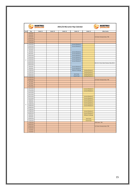|                         |                          | <i><b>BASKETBALL</b></i><br><i>DUEENSLAND</i> |          | 2021/22 BQ Junior Rep Calendar | <i><b>BASKETBALL</b></i>  |                           |                                         |
|-------------------------|--------------------------|-----------------------------------------------|----------|--------------------------------|---------------------------|---------------------------|-----------------------------------------|
| Term                    | Day                      | Under 21                                      | Under 18 | Under 16                       | Under 14                  | Under 12                  | <b>Other Events</b>                     |
|                         | 2/04/2022                |                                               |          |                                |                           |                           |                                         |
|                         | 3/04/2022                |                                               |          |                                |                           |                           |                                         |
|                         | 9/04/2022                |                                               |          |                                |                           |                           | U16 State Championships: TBD            |
|                         | 10/04/2022               |                                               |          |                                |                           |                           |                                         |
|                         | 16/04/2022               |                                               |          |                                |                           |                           |                                         |
|                         | 17/04/2022               |                                               |          |                                |                           |                           |                                         |
|                         | 23/04/2022               |                                               |          |                                | Carnival Weekend 1        |                           |                                         |
|                         | 24/04/2022               |                                               |          |                                | Carnival Weekend 1        |                           |                                         |
|                         | 30/04/2022               |                                               |          |                                |                           |                           |                                         |
|                         | 1/05/2022                |                                               |          |                                |                           |                           |                                         |
|                         | 7/05/2022                |                                               |          |                                | Carnival Weekend 2        |                           |                                         |
|                         | 8/05/2022                |                                               |          |                                | Carnival Weekend 2        |                           |                                         |
|                         | 14/05/2022               |                                               |          |                                | Carnival Weekend 3        |                           |                                         |
|                         | 15/05/2022               |                                               |          |                                | Carnival Weekend 3        |                           |                                         |
| $\overline{\mathbf{2}}$ | 21/05/2022               |                                               |          |                                | Carnival Weekend 4        |                           |                                         |
|                         | 22/05/2022               |                                               |          |                                | Carnival Weekend 4        |                           |                                         |
|                         | 28/05/2022               |                                               |          |                                |                           |                           | QSS 10-12 Years State Champs: May 28-29 |
|                         | 29/05/2022               |                                               |          |                                |                           |                           |                                         |
|                         | 4/06/2022                |                                               |          |                                | Carnival Weekend 5        |                           |                                         |
|                         | 5/06/2022                |                                               |          |                                | Carnival Weekend 5        |                           |                                         |
|                         | 11/06/2022               |                                               |          |                                | <b>Wildcard Challenge</b> | <b>Grading Weekend 1</b>  |                                         |
|                         | 12/06/2022               |                                               |          |                                |                           | <b>Grading Weekend 1</b>  |                                         |
|                         | 18/06/2022               |                                               |          |                                | Semi Finals               | <b>Grading Weekend 2</b>  |                                         |
|                         | 19/06/2022               |                                               |          |                                | <b>Grand Finals</b>       | <b>Grading Weekend 2</b>  |                                         |
|                         | 25/06/2022               |                                               |          |                                |                           |                           |                                         |
|                         | 26/06/2022               |                                               |          |                                |                           |                           | U14 State Championships: TBD            |
|                         | 2/07/2022                |                                               |          |                                |                           |                           |                                         |
|                         | 3/07/2022                |                                               |          |                                |                           |                           |                                         |
|                         | 9/07/2022                |                                               |          |                                |                           |                           |                                         |
|                         | 10/07/2022               |                                               |          |                                |                           |                           |                                         |
|                         | 16/07/2022               |                                               |          |                                |                           | Carnival Weekend 1        |                                         |
|                         | 17/07/2022               |                                               |          |                                |                           | Carnival Weekend 1        |                                         |
|                         | 23/07/2022<br>24/07/2022 |                                               |          |                                |                           |                           |                                         |
|                         | 30/07/2022               |                                               |          |                                |                           | Carnival Weekend 2        |                                         |
|                         | 31/07/2022               |                                               |          |                                |                           | Carnival Weekend 2        |                                         |
|                         | 6/08/2022                |                                               |          |                                |                           | Carnival Weekend 3        |                                         |
|                         | 7/08/2022                |                                               |          |                                |                           | <b>Carnival Weekend 3</b> |                                         |
|                         | 13/08/2022               |                                               |          |                                |                           | Carnival Weekend 4        |                                         |
| 3                       | 14/08/2022               |                                               |          |                                |                           | Carnival Weekend 4        |                                         |
|                         | 20/08/2022               |                                               |          |                                |                           |                           |                                         |
|                         | 21/08/2022               |                                               |          |                                |                           |                           |                                         |
|                         | 27/08/2022               |                                               |          |                                |                           | <b>Carnival Weekend 5</b> |                                         |
|                         | 28/08/2022               |                                               |          |                                |                           | <b>Carnival Weekend 5</b> |                                         |
|                         | 3/09/2022                |                                               |          |                                |                           | <b>Wildcard Challenge</b> |                                         |
|                         | 4/09/2022                |                                               |          |                                |                           |                           |                                         |
|                         | 10/09/2022               |                                               |          |                                |                           | Semi Finals               |                                         |
|                         | 11/09/2022               |                                               |          |                                |                           | <b>Grand Finals</b>       |                                         |
|                         | 17/09/2022               |                                               |          |                                |                           |                           | CBSQ Open: TBD                          |
|                         | 18/09/2022               |                                               |          |                                |                           |                           |                                         |
|                         | 24/09/2022               |                                               |          |                                |                           |                           | U12 State Championships: TBD            |
|                         | 25/09/2022               |                                               |          |                                |                           |                           |                                         |
|                         | 1/10/2022                |                                               |          |                                |                           |                           |                                         |
|                         | 2/10/2022                |                                               |          |                                |                           |                           |                                         |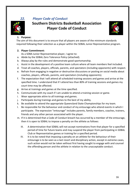

# **Southern Districts Basketball Association Player Code of Conduct**



## **1. Purpose:**

The aim of this document is to ensure that all players are aware of the minimum standards required following their selection as a player within the SDBAL Junior Representative program.

## **2. Player Commitment:**

As a SDBA Junior Representative player, I agree to:

- a. Abide by the SDBAL Zero Tolerance Policy (attached).
- b. Always play by the rules and demonstrate good sportsmanship.
- c. Assist in the development of a positive team culture where all team members feel included.
- d. Treat all coaches, players, officials, parents, and spectators (including opponents) with respect.
- e. Refrain from engaging in negative or destructive discussions or posting on social media about coaches, players, officials, parents, and spectators (including opponents).
- f. The expectation that I will attend all scheduled training sessions and games and arrive at the specified time. I understand that if I attend less than 80% of training sessions and games my court time may be affected.
- g. Arrive at trainings and games at the time specified.
- h. Communicate with my coach if I am unable to attend a training session or game.
- i. Wear appropriate attire to all trainings and games.
- j. Participate during trainings and games to the best of my ability.
- k. Be available to attend the appropriate Queensland State Championships for my team.
- l. Be responsible for the behaviour and conduct of my entourage who attend events in which I participate. The expression "entourage" includes parents, family members, coaches, trainers, friends and any other person associated with the player.
- m. If it is determined that a Code of Conduct breach has occurred by a member of the entourage, then it is open to SDBAL to impose a penalty on the athlete as follows:
	- III. A determination that SDBAL will not accept nominations from that player for a specified period of time for future teams and may suspend the player from participating in SDBAL Club or Representative games or training for a specified period.
	- IV. It is to be noted that imposing a penalty on an athlete for the behaviour of their entourage is to be seen as a last resort and disciplinary action, except in extreme cases, such action would not be taken without first having sought to engage with and counsel the offending person and the athlete in relation to the unacceptable conduct.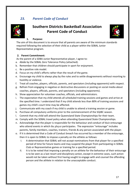## *23. Parent Code of Conduct*



# **Southern Districts Basketball Association Parent Code of Conduct**



#### **1. Purpose:**

The aim of this document is to ensure that all parents are aware of the minimum standards required following the selection of their child as a player within the SDBAL Junior Representative program.

#### **2. Parent Commitment:**

As the parent of a SDBA Junior Representative player, I agree to:

- a. Abide by the SDBAL Zero Tolerance Policy (attached).
- b. Remember that children should participate in sport for enjoyment.
- c. Be a positive role model.
- d. Focus on my child's efforts rather than the result of the game.
- e. Encourage my child to always play by the rules and to settle disagreements without resorting to hostility or violence.
- f. Treat all coaches, players, officials, parents, and spectators (including opponents) with respect.
- g. Refrain from engaging in negative or destructive discussions or posting on social media about coaches, players, officials, parents, and spectators (including opponents).
- h. Show appreciation for volunteer coaches, officials, and administrators.
- i. The expectation that my child attends all scheduled training sessions and games and arrive at the specified time. I understand that if my child attends less than 80% of training sessions and games my child's court time may be affected.
- j. Communicate with my coach if my child is unable to attend a training session or game.
- k. Purchase all compulsory uniforms prior to the commencement of the SQJBC season.
- l. Commit that my child will attend the Queensland State Championships for their team.
- m. Comply with the SDBAL travel policy when attending Queensland State Championships.
- n. Acknowledge that the player is responsible for the behaviour and conduct of their entourage who attend events in which the player participates. The expression "entourage" includes parents, family members, coaches, trainers, friends & any person associated with the player.
- o. If it is determined that a Code of Conduct breach has occurred by a member of the entourage, then it is open to SDBAL to impose a penalty on the athlete as follows:
	- I. A determination that SDBAL will not accept nominations from that player for a specified period of time for future teams and may suspend the player from participating in SDBAL Club or Representative games or training for a specified period.
	- II. It is to be noted that imposing a penalty on an athlete for the behaviour of their entourage is to be seen as a last resort and disciplinary action, except in extreme cases, such action would not be taken without first having sought to engage with and counsel the offending person and the athlete in relation to the unacceptable conduct.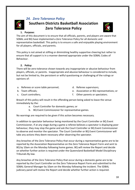

## *24. Zero Tolerance Policy*

## **Southern Districts Basketball Association Zero Tolerance Policy**



#### **1. Purpose:**

The aim of this document is to ensure that all officials, parents, and players are aware that SDBAL and BQ have implemented a Zero Tolerance Policy for all domestic and representative basketball. This policy is to ensure a safe and enjoyable playing environment for all players, officials, and parents.

This policy is not aimed at stifling or diminishing healthy supportive cheering but rather to ensure that all support is in a manner deemed appropriate under the SDBAL Codes of Behaviour.

#### **2. Policy:**

There will be zero-tolerance shown towards any inappropriate or abusive behaviour from players, officials, or parents. Inappropriate and abusive behaviour is considered to include, but not be limited to, the persistent or wilful questioning or challenging of the rulings or opinions of:

- a. Referees or score table personnel;
- b. Team officials;
- c. Court controllers;
- d. Referee supervisors;
- e. Association or BQ representatives; or
- f. Other parents or spectators.

Breach of this policy will result in the offending person being asked to leave the venue immediately by the:

- a. Court Controller for domestic games; or
- b. BQ Event Commissioner for representative games.

No warnings are required to be given if this action becomes necessary.

In addition to spectator behaviour being monitored by the Court Controller or BQ Event Commissioner, if at any stage during a game a referee believes a spectator is displaying poor behaviour, they may stop the game and ask the Court Controller or BQ Event Commissioner to observe and monitor the spectator. The Court Controller or BQ Event Commissioner will take any actions they deem necessary after observing the spectator.

Any breaches of the Zero Tolerance Policy that occur during a representative game are to be reported by the Association Representative on the Zero Tolerance Report Form and sent to BQ by 10am on the Monday following home games. BQ will review the Report and decide on whether further action is required under the Queensland Basketball Model Disciplinary Tribunals By-law.

Any breaches of the Zero Tolerance Policy that occur during a domestic game are to be reported by the Court Controller on the Zero Tolerance Report Form and submitted to the SDBAL General Manager by 10am on the Monday following the incident. The SDBAL judiciary panel will review the Report and decide whether further action is required.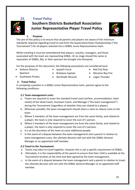

## *25. Travel Policy*

# **Southern Districts Basketball Association Junior Representative Player Travel Policy**



#### **1. Purpose:**

The aim of this policy is to ensure that all parents and players are aware of the minimum standards required regarding travel to and from the Queensland State Championships ("the Tournament") for all players selected into a SDBAL Junior Representative team.

While traveling it must be remembered that players, coaches, managers, and those associated with the team are representing SDBAL. At no stage should the name or reputation of SDBAL, BQ, or their sponsors be brought into disrepute.

For the purposes of this document, the following associations are considered local:

- Sothern Districts **Spartans**
- Ipswich Force
- Red City Roar
- Moreton Bay Fire
- Southwest Pirates
- Brisbane Capitals • Northside Wizards
- Logan Thunder

## **2. Travel Policy:**

In accepting a position in a SDBAL Junior Representative team, parents agree to the following conditions:

## *2.1 Team management costs:*

- a. Teams are required to cover the standard travel costs (airfare, accommodation, team meals) of the Head Coach, Assistant Coach, and Manager ("the team management") during the Tournament (regardless of whether they are related to a player).
- b. Wherever possible, the team management should share a room to reduce costs to the team.
- c. Where 2 members of the team management are from the same family, and related to a player, the team is only required to cover the cost of 1 person.
- d. Where 3 members of the team management are from the same family, and related to a player, the team is only required to cover the cost of 2 persons.
- e. It is at the discretion of the team to cover additional people.
- f. In the event of a dispute between the team management and a parent in relation to team management costs, the ultimate decision will rest with the SDBAL General Manager or an appointed staff member.

## *2.2 Travel to the Tournament:*

- a. Teams may elect to travel together, however this is not a specific requirement of SDBAL.
- b. Ultimately, it is the responsibility of the parent to ensure that their child is available at the Tournament location at the time and date agreed by the team management.
- c. In the event of a dispute between the team management and a parent in relation to travel, the ultimate decision will rest with the SDBAL General Manager or an appointed staff member.